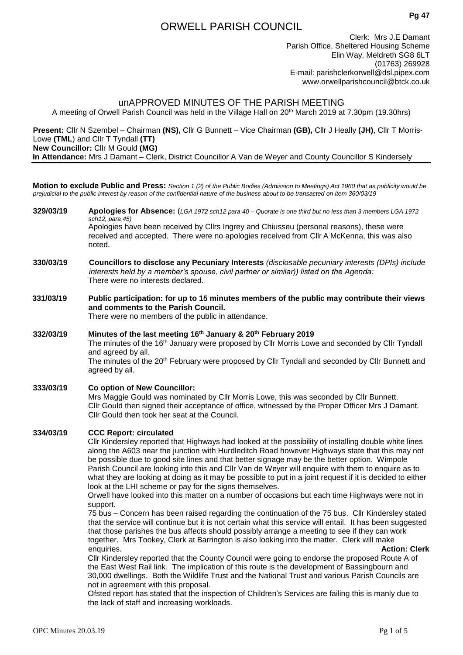# ORWELL PARISH COUNCIL

Clerk: Mrs J.E Damant Parish Office, Sheltered Housing Scheme Elin Way, Meldreth SG8 6LT (01763) 269928 E-mail: [parishclerkorwell@dsl.pipex.com](mailto:parishclerkorwell@dsl.pipex.com) [www.orwellparishcouncil@btck.co.uk](http://www.orwellparishcouncil@btck.co.uk)

# unAPPROVED MINUTES OF THE PARISH MEETING

A meeting of Orwell Parish Council was held in the Village Hall on 20<sup>th</sup> March 2019 at 7.30pm (19.30hrs)

**Present:** Cllr N Szembel – Chairman **(NS),** Cllr G Bunnett – Vice Chairman **(GB),** Cllr J Heally **(JH)**, Cllr T Morris-Lowe **(TML**) and Cllr T Tyndall **(TT) New Councillor:** Cllr M Gould **(MG) In Attendance:** Mrs J Damant – Clerk, District Councillor A Van de Weyer and County Councillor S Kindersely

**Motion to exclude Public and Press:** *Section 1 (2) of the Public Bodies (Admission to Meetings) Act 1960 that as publicity would be prejudicial to the public interest by reason of the confidential nature of the business about to be transacted on item 360/03/19*

- **329/03/19 Apologies for Absence:** (*LGA 1972 sch12 para 40 – Quorate is one third but no less than 3 members LGA 1972 sch12, para 45)* Apologies have been received by Cllrs Ingrey and Chiusseu (personal reasons), these were received and accepted. There were no apologies received from Cllr A McKenna, this was also noted.
- **330/03/19 Councillors to disclose any Pecuniary Interests** *(disclosable pecuniary interests (DPIs) include interests held by a member's spouse, civil partner or similar)) listed on the Agenda:* There were no interests declared.
- **331/03/19 Public participation: for up to 15 minutes members of the public may contribute their views and comments to the Parish Council.** There were no members of the public in attendance.
- **332/03/19 Minutes of the last meeting 16th January & 20th February 2019** The minutes of the 16<sup>th</sup> January were proposed by Cllr Morris Lowe and seconded by Cllr Tyndall and agreed by all. The minutes of the 20<sup>th</sup> February were proposed by Cllr Tyndall and seconded by Cllr Bunnett and agreed by all.
- **333/03/19 Co option of New Councillor:** Mrs Maggie Gould was nominated by Cllr Morris Lowe, this was seconded by Cllr Bunnett. Cllr Gould then signed their acceptance of office, witnessed by the Proper Officer Mrs J Damant. Cllr Gould then took her seat at the Council.

### **334/03/19 CCC Report: circulated**

Cllr Kindersley reported that Highways had looked at the possibility of installing double white lines along the A603 near the junction with Hurdleditch Road however Highways state that this may not be possible due to good site lines and that better signage may be the better option. Wimpole Parish Council are looking into this and Cllr Van de Weyer will enquire with them to enquire as to what they are looking at doing as it may be possible to put in a joint request if it is decided to either look at the LHI scheme or pay for the signs themselves.

Orwell have looked into this matter on a number of occasions but each time Highways were not in support.

75 bus – Concern has been raised regarding the continuation of the 75 bus. Cllr Kindersley stated that the service will continue but it is not certain what this service will entail. It has been suggested that those parishes the bus affects should possibly arrange a meeting to see if they can work together. Mrs Tookey, Clerk at Barrington is also looking into the matter. Clerk will make enquiries. **Action: Clerk**

Cllr Kindersley reported that the County Council were going to endorse the proposed Route A of the East West Rail link. The implication of this route is the development of Bassingbourn and 30,000 dwellings. Both the Wildlife Trust and the National Trust and various Parish Councils are not in agreement with this proposal.

Ofsted report has stated that the inspection of Children's Services are failing this is manly due to the lack of staff and increasing workloads.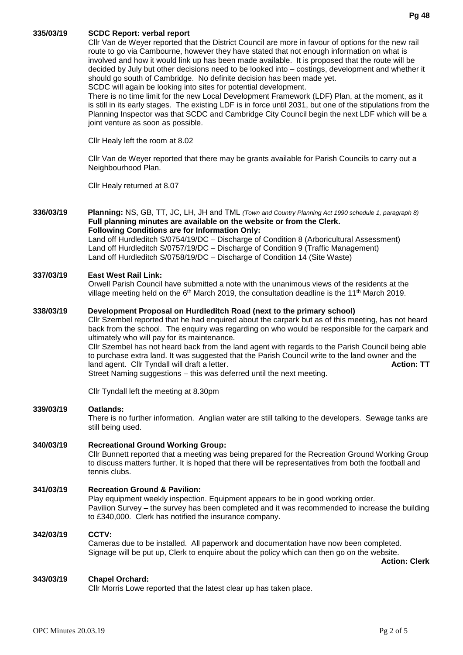#### **335/03/19 SCDC Report: verbal report**

Cllr Van de Weyer reported that the District Council are more in favour of options for the new rail route to go via Cambourne, however they have stated that not enough information on what is involved and how it would link up has been made available. It is proposed that the route will be decided by July but other decisions need to be looked into – costings, development and whether it should go south of Cambridge. No definite decision has been made yet. SCDC will again be looking into sites for potential development.

There is no time limit for the new Local Development Framework (LDF) Plan, at the moment, as it is still in its early stages. The existing LDF is in force until 2031, but one of the stipulations from the Planning Inspector was that SCDC and Cambridge City Council begin the next LDF which will be a joint venture as soon as possible.

Cllr Healy left the room at 8.02

Cllr Van de Weyer reported that there may be grants available for Parish Councils to carry out a Neighbourhood Plan.

Cllr Healy returned at 8.07

**336/03/19 Planning:** NS, GB, TT, JC, LH, JH and TML *(Town and Country Planning Act 1990 schedule 1, paragraph 8)* **Full planning minutes are available on the website or from the Clerk. Following Conditions are for Information Only:** Land off Hurdleditch S/0754/19/DC – Discharge of Condition 8 (Arboricultural Assessment) Land off Hurdleditch S/0757/19/DC – Discharge of Condition 9 (Traffic Management) Land off Hurdleditch S/0758/19/DC – Discharge of Condition 14 (Site Waste)

#### **337/03/19 East West Rail Link:**

Orwell Parish Council have submitted a note with the unanimous views of the residents at the village meeting held on the 6<sup>th</sup> March 2019, the consultation deadline is the 11<sup>th</sup> March 2019.

#### **338/03/19 Development Proposal on Hurdleditch Road (next to the primary school)**

Cllr Szembel reported that he had enquired about the carpark but as of this meeting, has not heard back from the school. The enquiry was regarding on who would be responsible for the carpark and ultimately who will pay for its maintenance. Cllr Szembel has not heard back from the land agent with regards to the Parish Council being able to purchase extra land. It was suggested that the Parish Council write to the land owner and the land agent. Clir Tyndall will draft a letter. **Action: TT** and agent and action: TT Street Naming suggestions – this was deferred until the next meeting.

Cllr Tyndall left the meeting at 8.30pm

#### **339/03/19 Oatlands:**

There is no further information. Anglian water are still talking to the developers. Sewage tanks are still being used.

#### **340/03/19 Recreational Ground Working Group:**

Cllr Bunnett reported that a meeting was being prepared for the Recreation Ground Working Group to discuss matters further. It is hoped that there will be representatives from both the football and tennis clubs.

#### **341/03/19 Recreation Ground & Pavilion:**

Play equipment weekly inspection. Equipment appears to be in good working order. Pavilion Survey – the survey has been completed and it was recommended to increase the building to £340,000. Clerk has notified the insurance company.

### **342/03/19 CCTV:**

Cameras due to be installed. All paperwork and documentation have now been completed. Signage will be put up, Clerk to enquire about the policy which can then go on the website.

 **Action: Clerk**

#### **343/03/19 Chapel Orchard:**

Cllr Morris Lowe reported that the latest clear up has taken place.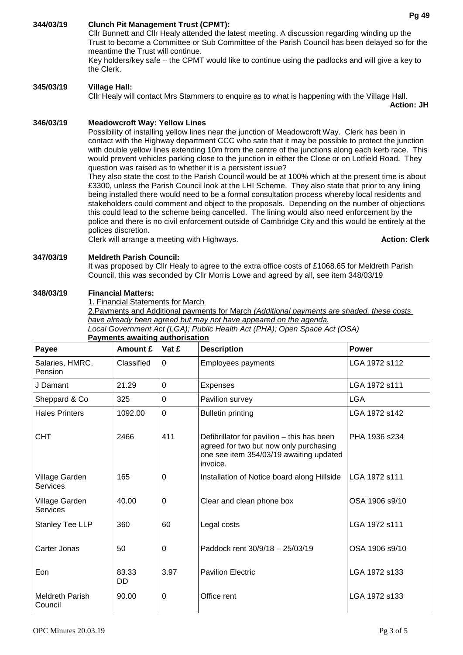# **344/03/19 Clunch Pit Management Trust (CPMT):**

Cllr Bunnett and Cllr Healy attended the latest meeting. A discussion regarding winding up the Trust to become a Committee or Sub Committee of the Parish Council has been delayed so for the meantime the Trust will continue.

Key holders/key safe – the CPMT would like to continue using the padlocks and will give a key to the Clerk.

#### **345/03/19 Village Hall:**

Cllr Healy will contact Mrs Stammers to enquire as to what is happening with the Village Hall.

**Action: JH**

#### **346/03/19 Meadowcroft Way: Yellow Lines**

Possibility of installing yellow lines near the junction of Meadowcroft Way. Clerk has been in contact with the Highway department CCC who sate that it may be possible to protect the junction with double yellow lines extending 10m from the centre of the junctions along each kerb race. This would prevent vehicles parking close to the junction in either the Close or on Lotfield Road. They question was raised as to whether it is a persistent issue?

They also state the cost to the Parish Council would be at 100% which at the present time is about £3300, unless the Parish Council look at the LHI Scheme. They also state that prior to any lining being installed there would need to be a formal consultation process whereby local residents and stakeholders could comment and object to the proposals. Depending on the number of objections this could lead to the scheme being cancelled. The lining would also need enforcement by the police and there is no civil enforcement outside of Cambridge City and this would be entirely at the polices discretion.

Clerk will arrange a meeting with Highways. **Action: Clerk**

#### **347/03/19 Meldreth Parish Council:**

It was proposed by Cllr Healy to agree to the extra office costs of £1068.65 for Meldreth Parish Council, this was seconded by Cllr Morris Lowe and agreed by all, see item 348/03/19

#### **348/03/19 Financial Matters:**

1. Financial Statements for March

2.Payments and Additional payments for March *(Additional payments are shaded, these costs have already been agreed but may not have appeared on the agenda.*

*Local Government Act (LGA); Public Health Act (PHA); Open Space Act (OSA)*

| Payee                             | Amount £    | Vat £       | <b>Description</b>                                                                                                                          | <b>Power</b>   |
|-----------------------------------|-------------|-------------|---------------------------------------------------------------------------------------------------------------------------------------------|----------------|
| Salaries, HMRC,<br>Pension        | Classified  | 0           | <b>Employees payments</b>                                                                                                                   | LGA 1972 s112  |
| J Damant                          | 21.29       | $\mathbf 0$ | <b>Expenses</b>                                                                                                                             | LGA 1972 s111  |
| Sheppard & Co                     | 325         | 0           | Pavilion survey                                                                                                                             | <b>LGA</b>     |
| <b>Hales Printers</b>             | 1092.00     | $\mathbf 0$ | <b>Bulletin printing</b>                                                                                                                    | LGA 1972 s142  |
| <b>CHT</b>                        | 2466        | 411         | Defibrillator for pavilion - this has been<br>agreed for two but now only purchasing<br>one see item 354/03/19 awaiting updated<br>invoice. | PHA 1936 s234  |
| Village Garden<br>Services        | 165         | 0           | Installation of Notice board along Hillside                                                                                                 | LGA 1972 s111  |
| Village Garden<br>Services        | 40.00       | 0           | Clear and clean phone box                                                                                                                   | OSA 1906 s9/10 |
| Stanley Tee LLP                   | 360         | 60          | Legal costs                                                                                                                                 | LGA 1972 s111  |
| Carter Jonas                      | 50          | 0           | Paddock rent 30/9/18 - 25/03/19                                                                                                             | OSA 1906 s9/10 |
| Eon                               | 83.33<br>DD | 3.97        | <b>Pavilion Electric</b>                                                                                                                    | LGA 1972 s133  |
| <b>Meldreth Parish</b><br>Council | 90.00       | 0           | Office rent                                                                                                                                 | LGA 1972 s133  |

#### **Payments awaiting authorisation**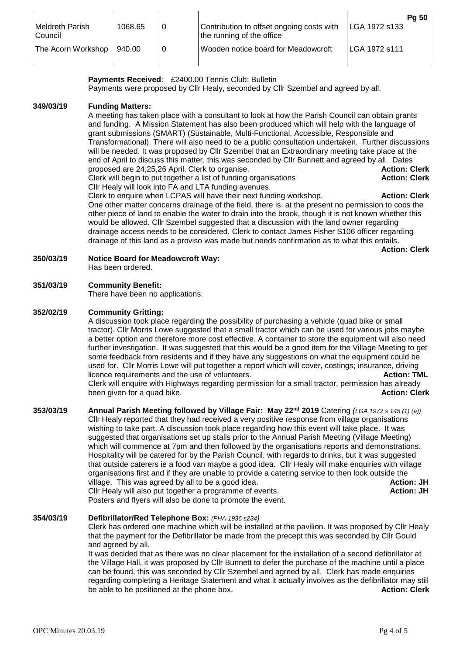| <b>Meldreth Parish</b><br>Council | 1068.65 | Contribution to offset ongoing costs with<br>the running of the office | LGA 1972 s133 | Pg 50 |
|-----------------------------------|---------|------------------------------------------------------------------------|---------------|-------|
| The Acorn Workshop                | 940.00  | Wooden notice board for Meadowcroft                                    | LGA 1972 s111 |       |

Payments Received: £2400.00 Tennis Club; Bulletin Payments were proposed by Cllr Healy, seconded by Cllr Szembel and agreed by all.

#### **349/03/19 Funding Matters:**

A meeting has taken place with a consultant to look at how the Parish Council can obtain grants and funding. A Mission Statement has also been produced which will help with the language of grant submissions (SMART) (Sustainable, Multi-Functional, Accessible, Responsible and Transformational). There will also need to be a public consultation undertaken. Further discussions will be needed. It was proposed by Cllr Szembel that an Extraordinary meeting take place at the end of April to discuss this matter, this was seconded by Cllr Bunnett and agreed by all. Dates proposed are 24,25,26 April. Clerk to organise. **Action: Clerk** Clerk will begin to put together a list of funding organisations **Action: Clerk Action: Clerk** Cllr Healy will look into FA and LTA funding avenues.

Clerk to enquire when LCPAS will have their next funding workshop. **Action: Clerk** One other matter concerns drainage of the field, there is, at the present no permission to coos the other piece of land to enable the water to drain into the brook, though it is not known whether this would be allowed. Cllr Szembel suggested that a discussion with the land owner regarding drainage access needs to be considered. Clerk to contact James Fisher S106 officer regarding drainage of this land as a proviso was made but needs confirmation as to what this entails.

**Action: Clerk**

**350/03/19 Notice Board for Meadowcroft Way:** Has been ordered.

#### **351/03/19 Community Benefit:**

There have been no applications.

#### **352/02/19 Community Gritting:**

A discussion took place regarding the possibility of purchasing a vehicle (quad bike or small tractor). Cllr Morris Lowe suggested that a small tractor which can be used for various jobs maybe a better option and therefore more cost effective. A container to store the equipment will also need further investigation. It was suggested that this would be a good item for the Village Meeting to get some feedback from residents and if they have any suggestions on what the equipment could be used for. Cllr Morris Lowe will put together a report which will cover, costings; insurance, driving licence requirements and the use of volunteers. **Action: TML Action: TML** Clerk will enquire with Highways regarding permission for a small tractor, permission has already been given for a quad bike. **Action: Clerk** and the set of the set of the set of the set of the set of the set of the set of the set of the set of the set of the set of the set of the set of the set of the set of the set o

**353/03/19 Annual Parish Meeting followed by Village Fair: May 22nd 2019** Catering *(LGA 1972 s 145 (1) (a))* Cllr Healy reported that they had received a very positive response from village organisations wishing to take part. A discussion took place regarding how this event will take place. It was suggested that organisations set up stalls prior to the Annual Parish Meeting (Village Meeting) which will commence at 7pm and then followed by the organisations reports and demonstrations. Hospitality will be catered for by the Parish Council, with regards to drinks, but it was suggested that outside caterers ie a food van maybe a good idea. Cllr Healy will make enquiries with village organisations first and if they are unable to provide a catering service to then look outside the village. This was agreed by all to be a good idea. **Action: JH Action: JH** Cllr Healy will also put together a programme of events. **Action: JH Action: JH** Posters and flyers will also be done to promote the event.

#### **354/03/19 Defibrillator/Red Telephone Box:** *(PHA 1936 s234)*

Clerk has ordered one machine which will be installed at the pavilion. It was proposed by Cllr Healy that the payment for the Defibrillator be made from the precept this was seconded by Cllr Gould and agreed by all.

It was decided that as there was no clear placement for the installation of a second defibrillator at the Village Hall, it was proposed by Cllr Bunnett to defer the purchase of the machine until a place can be found, this was seconded by Cllr Szembel and agreed by all. Clerk has made enquiries regarding completing a Heritage Statement and what it actually involves as the defibrillator may still be able to be positioned at the phone box. **Action: Clerk**